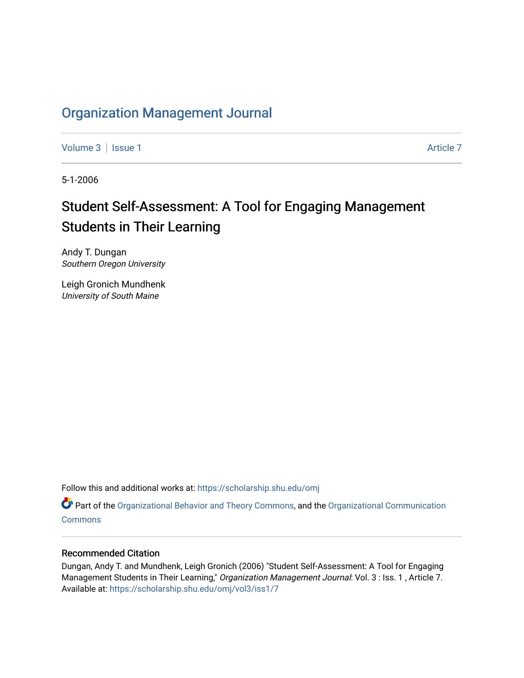# [Organization Management Journal](https://scholarship.shu.edu/omj)

[Volume 3](https://scholarship.shu.edu/omj/vol3) | [Issue 1](https://scholarship.shu.edu/omj/vol3/iss1) Article 7

5-1-2006

# Student Self-Assessment: A Tool for Engaging Management Students in Their Learning

Andy T. Dungan Southern Oregon University

Leigh Gronich Mundhenk University of South Maine

Follow this and additional works at: [https://scholarship.shu.edu/omj](https://scholarship.shu.edu/omj?utm_source=scholarship.shu.edu%2Fomj%2Fvol3%2Fiss1%2F7&utm_medium=PDF&utm_campaign=PDFCoverPages) 

Part of the [Organizational Behavior and Theory Commons,](http://network.bepress.com/hgg/discipline/639?utm_source=scholarship.shu.edu%2Fomj%2Fvol3%2Fiss1%2F7&utm_medium=PDF&utm_campaign=PDFCoverPages) and the [Organizational Communication](http://network.bepress.com/hgg/discipline/335?utm_source=scholarship.shu.edu%2Fomj%2Fvol3%2Fiss1%2F7&utm_medium=PDF&utm_campaign=PDFCoverPages) **[Commons](http://network.bepress.com/hgg/discipline/335?utm_source=scholarship.shu.edu%2Fomj%2Fvol3%2Fiss1%2F7&utm_medium=PDF&utm_campaign=PDFCoverPages)** 

#### Recommended Citation

Dungan, Andy T. and Mundhenk, Leigh Gronich (2006) "Student Self-Assessment: A Tool for Engaging Management Students in Their Learning," Organization Management Journal: Vol. 3 : Iss. 1, Article 7. Available at: [https://scholarship.shu.edu/omj/vol3/iss1/7](https://scholarship.shu.edu/omj/vol3/iss1/7?utm_source=scholarship.shu.edu%2Fomj%2Fvol3%2Fiss1%2F7&utm_medium=PDF&utm_campaign=PDFCoverPages)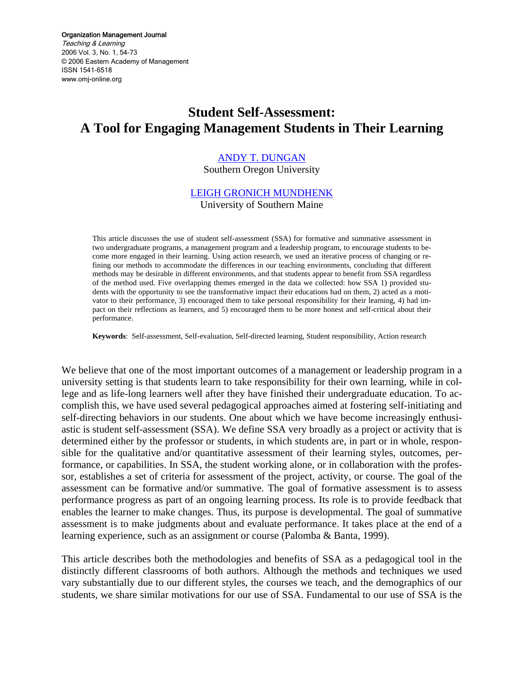Organization Management Journal Teaching & Learning 2006 Vol. 3, No. 1, 54-73 © 2006 Eastern Academy of Management ISSN 1541-6518 www.omj-online.org

# **Student Self-Assessment: A Tool for Engaging Management Students in Their Learning**

#### [ANDY T. DUNGAN](mailto:dungan@sou.edu)

Southern Oregon University

#### [LEIGH GRONICH MUNDHENK](mailto:mundhenk@usm.maine.edu)

University of Southern Maine

This article discusses the use of student self-assessment (SSA) for formative and summative assessment in two undergraduate programs, a management program and a leadership program, to encourage students to become more engaged in their learning. Using action research, we used an iterative process of changing or refining our methods to accommodate the differences in our teaching environments, concluding that different methods may be desirable in different environments, and that students appear to benefit from SSA regardless of the method used. Five overlapping themes emerged in the data we collected: how SSA 1) provided students with the opportunity to see the transformative impact their educations had on them, 2) acted as a motivator to their performance, 3) encouraged them to take personal responsibility for their learning, 4) had impact on their reflections as learners, and 5) encouraged them to be more honest and self-critical about their performance.

**Keywords**: Self-assessment, Self-evaluation, Self-directed learning, Student responsibility, Action research

We believe that one of the most important outcomes of a management or leadership program in a university setting is that students learn to take responsibility for their own learning, while in college and as life-long learners well after they have finished their undergraduate education. To accomplish this, we have used several pedagogical approaches aimed at fostering self-initiating and self-directing behaviors in our students. One about which we have become increasingly enthusiastic is student self-assessment (SSA). We define SSA very broadly as a project or activity that is determined either by the professor or students, in which students are, in part or in whole, responsible for the qualitative and/or quantitative assessment of their learning styles, outcomes, performance, or capabilities. In SSA, the student working alone, or in collaboration with the professor, establishes a set of criteria for assessment of the project, activity, or course. The goal of the assessment can be formative and/or summative. The goal of formative assessment is to assess performance progress as part of an ongoing learning process. Its role is to provide feedback that enables the learner to make changes. Thus, its purpose is developmental. The goal of summative assessment is to make judgments about and evaluate performance. It takes place at the end of a learning experience, such as an assignment or course (Palomba & Banta, 1999).

This article describes both the methodologies and benefits of SSA as a pedagogical tool in the distinctly different classrooms of both authors. Although the methods and techniques we used vary substantially due to our different styles, the courses we teach, and the demographics of our students, we share similar motivations for our use of SSA. Fundamental to our use of SSA is the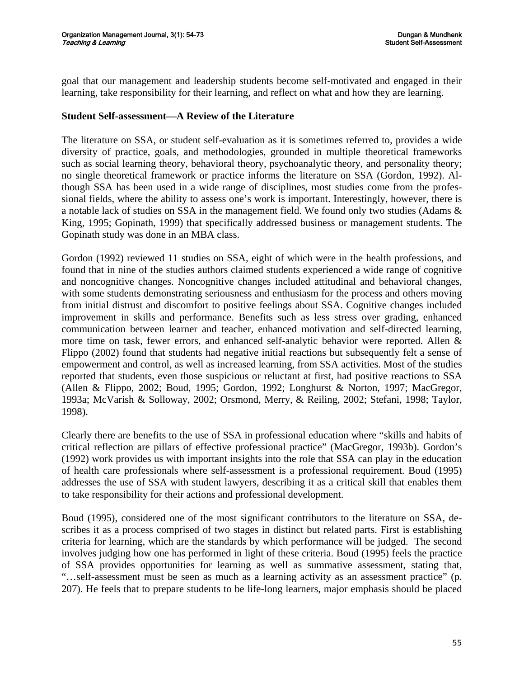goal that our management and leadership students become self-motivated and engaged in their learning, take responsibility for their learning, and reflect on what and how they are learning.

#### **Student Self-assessment—A Review of the Literature**

The literature on SSA, or student self-evaluation as it is sometimes referred to, provides a wide diversity of practice, goals, and methodologies, grounded in multiple theoretical frameworks such as social learning theory, behavioral theory, psychoanalytic theory, and personality theory; no single theoretical framework or practice informs the literature on SSA (Gordon, 1992). Although SSA has been used in a wide range of disciplines, most studies come from the professional fields, where the ability to assess one's work is important. Interestingly, however, there is a notable lack of studies on SSA in the management field. We found only two studies (Adams & King, 1995; Gopinath, 1999) that specifically addressed business or management students. The Gopinath study was done in an MBA class.

Gordon (1992) reviewed 11 studies on SSA, eight of which were in the health professions, and found that in nine of the studies authors claimed students experienced a wide range of cognitive and noncognitive changes. Noncognitive changes included attitudinal and behavioral changes, with some students demonstrating seriousness and enthusiasm for the process and others moving from initial distrust and discomfort to positive feelings about SSA. Cognitive changes included improvement in skills and performance. Benefits such as less stress over grading, enhanced communication between learner and teacher, enhanced motivation and self-directed learning, more time on task, fewer errors, and enhanced self-analytic behavior were reported. Allen & Flippo (2002) found that students had negative initial reactions but subsequently felt a sense of empowerment and control, as well as increased learning, from SSA activities. Most of the studies reported that students, even those suspicious or reluctant at first, had positive reactions to SSA (Allen & Flippo, 2002; Boud, 1995; Gordon, 1992; Longhurst & Norton, 1997; MacGregor, 1993a; McVarish & Solloway, 2002; Orsmond, Merry, & Reiling, 2002; Stefani, 1998; Taylor, 1998).

Clearly there are benefits to the use of SSA in professional education where "skills and habits of critical reflection are pillars of effective professional practice" (MacGregor, 1993b). Gordon's (1992) work provides us with important insights into the role that SSA can play in the education of health care professionals where self-assessment is a professional requirement. Boud (1995) addresses the use of SSA with student lawyers, describing it as a critical skill that enables them to take responsibility for their actions and professional development.

Boud (1995), considered one of the most significant contributors to the literature on SSA, describes it as a process comprised of two stages in distinct but related parts. First is establishing criteria for learning, which are the standards by which performance will be judged. The second involves judging how one has performed in light of these criteria. Boud (1995) feels the practice of SSA provides opportunities for learning as well as summative assessment, stating that, "…self-assessment must be seen as much as a learning activity as an assessment practice" (p. 207). He feels that to prepare students to be life-long learners, major emphasis should be placed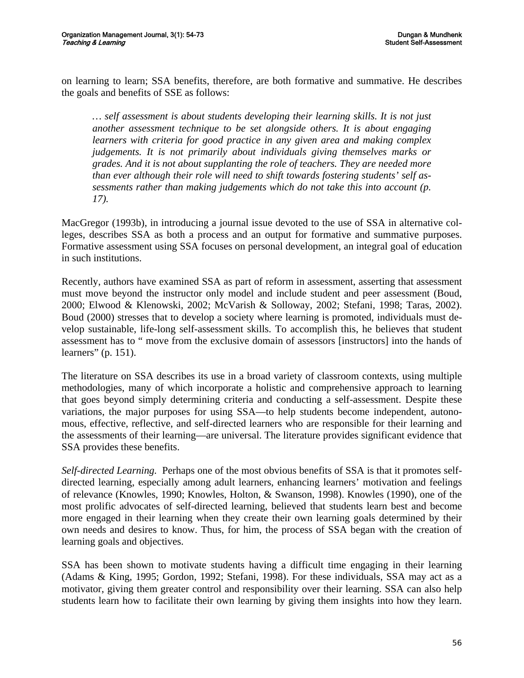on learning to learn; SSA benefits, therefore, are both formative and summative. He describes the goals and benefits of SSE as follows:

*… self assessment is about students developing their learning skills. It is not just another assessment technique to be set alongside others. It is about engaging learners with criteria for good practice in any given area and making complex judgements. It is not primarily about individuals giving themselves marks or grades. And it is not about supplanting the role of teachers. They are needed more than ever although their role will need to shift towards fostering students' self assessments rather than making judgements which do not take this into account (p. 17).* 

MacGregor (1993b), in introducing a journal issue devoted to the use of SSA in alternative colleges, describes SSA as both a process and an output for formative and summative purposes. Formative assessment using SSA focuses on personal development, an integral goal of education in such institutions.

Recently, authors have examined SSA as part of reform in assessment, asserting that assessment must move beyond the instructor only model and include student and peer assessment (Boud, 2000; Elwood & Klenowski, 2002; McVarish & Solloway, 2002; Stefani, 1998; Taras, 2002). Boud (2000) stresses that to develop a society where learning is promoted, individuals must develop sustainable, life-long self-assessment skills. To accomplish this, he believes that student assessment has to " move from the exclusive domain of assessors [instructors] into the hands of learners" (p. 151).

The literature on SSA describes its use in a broad variety of classroom contexts, using multiple methodologies, many of which incorporate a holistic and comprehensive approach to learning that goes beyond simply determining criteria and conducting a self-assessment. Despite these variations, the major purposes for using SSA—to help students become independent, autonomous, effective, reflective, and self-directed learners who are responsible for their learning and the assessments of their learning—are universal. The literature provides significant evidence that SSA provides these benefits.

*Self-directed Learning.* Perhaps one of the most obvious benefits of SSA is that it promotes selfdirected learning, especially among adult learners, enhancing learners' motivation and feelings of relevance (Knowles, 1990; Knowles, Holton, & Swanson, 1998). Knowles (1990), one of the most prolific advocates of self-directed learning, believed that students learn best and become more engaged in their learning when they create their own learning goals determined by their own needs and desires to know. Thus, for him, the process of SSA began with the creation of learning goals and objectives.

SSA has been shown to motivate students having a difficult time engaging in their learning (Adams & King, 1995; Gordon, 1992; Stefani, 1998). For these individuals, SSA may act as a motivator, giving them greater control and responsibility over their learning. SSA can also help students learn how to facilitate their own learning by giving them insights into how they learn.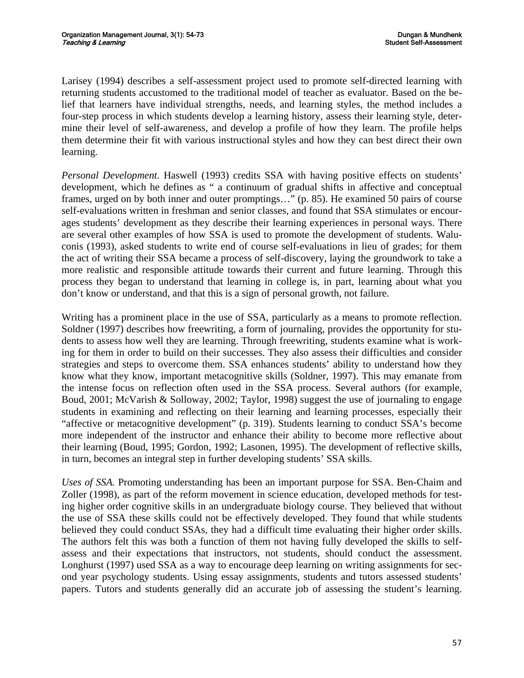Larisey (1994) describes a self-assessment project used to promote self-directed learning with returning students accustomed to the traditional model of teacher as evaluator. Based on the belief that learners have individual strengths, needs, and learning styles, the method includes a four-step process in which students develop a learning history, assess their learning style, determine their level of self-awareness, and develop a profile of how they learn. The profile helps them determine their fit with various instructional styles and how they can best direct their own learning.

*Personal Development.* Haswell (1993) credits SSA with having positive effects on students' development, which he defines as " a continuum of gradual shifts in affective and conceptual frames, urged on by both inner and outer promptings…" (p. 85). He examined 50 pairs of course self-evaluations written in freshman and senior classes, and found that SSA stimulates or encourages students' development as they describe their learning experiences in personal ways. There are several other examples of how SSA is used to promote the development of students. Waluconis (1993), asked students to write end of course self-evaluations in lieu of grades; for them the act of writing their SSA became a process of self-discovery, laying the groundwork to take a more realistic and responsible attitude towards their current and future learning. Through this process they began to understand that learning in college is, in part, learning about what you don't know or understand, and that this is a sign of personal growth, not failure.

Writing has a prominent place in the use of SSA, particularly as a means to promote reflection. Soldner (1997) describes how freewriting, a form of journaling, provides the opportunity for students to assess how well they are learning. Through freewriting, students examine what is working for them in order to build on their successes. They also assess their difficulties and consider strategies and steps to overcome them. SSA enhances students' ability to understand how they know what they know, important metacognitive skills (Soldner, 1997). This may emanate from the intense focus on reflection often used in the SSA process. Several authors (for example, Boud, 2001; McVarish & Solloway, 2002; Taylor, 1998) suggest the use of journaling to engage students in examining and reflecting on their learning and learning processes, especially their "affective or metacognitive development" (p. 319). Students learning to conduct SSA's become more independent of the instructor and enhance their ability to become more reflective about their learning (Boud, 1995; Gordon, 1992; Lasonen, 1995). The development of reflective skills, in turn, becomes an integral step in further developing students' SSA skills.

*Uses of SSA.* Promoting understanding has been an important purpose for SSA. Ben-Chaim and Zoller (1998), as part of the reform movement in science education, developed methods for testing higher order cognitive skills in an undergraduate biology course. They believed that without the use of SSA these skills could not be effectively developed. They found that while students believed they could conduct SSAs, they had a difficult time evaluating their higher order skills. The authors felt this was both a function of them not having fully developed the skills to selfassess and their expectations that instructors, not students, should conduct the assessment. Longhurst (1997) used SSA as a way to encourage deep learning on writing assignments for second year psychology students. Using essay assignments, students and tutors assessed students' papers. Tutors and students generally did an accurate job of assessing the student's learning.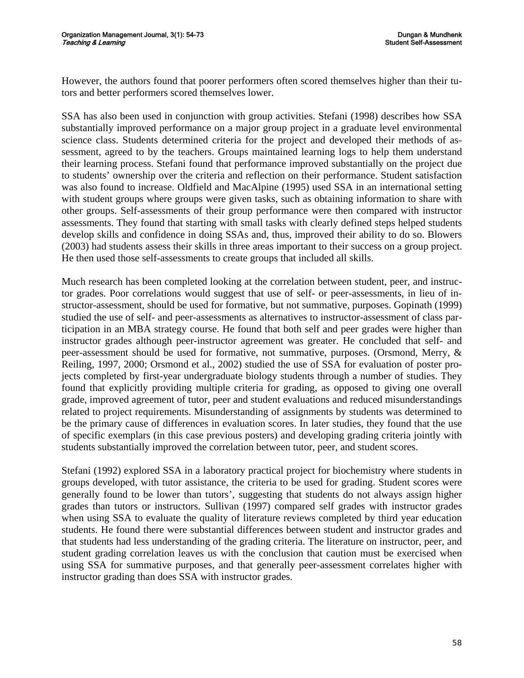However, the authors found that poorer performers often scored themselves higher than their tutors and better performers scored themselves lower.

SSA has also been used in conjunction with group activities. Stefani (1998) describes how SSA substantially improved performance on a major group project in a graduate level environmental science class. Students determined criteria for the project and developed their methods of assessment, agreed to by the teachers. Groups maintained learning logs to help them understand their learning process. Stefani found that performance improved substantially on the project due to students' ownership over the criteria and reflection on their performance. Student satisfaction was also found to increase. Oldfield and MacAlpine (1995) used SSA in an international setting with student groups where groups were given tasks, such as obtaining information to share with other groups. Self-assessments of their group performance were then compared with instructor assessments. They found that starting with small tasks with clearly defined steps helped students develop skills and confidence in doing SSAs and, thus, improved their ability to do so. Blowers (2003) had students assess their skills in three areas important to their success on a group project. He then used those self-assessments to create groups that included all skills.

Much research has been completed looking at the correlation between student, peer, and instructor grades. Poor correlations would suggest that use of self- or peer-assessments, in lieu of instructor-assessment, should be used for formative, but not summative, purposes. Gopinath (1999) studied the use of self- and peer-assessments as alternatives to instructor-assessment of class participation in an MBA strategy course. He found that both self and peer grades were higher than instructor grades although peer-instructor agreement was greater. He concluded that self- and peer-assessment should be used for formative, not summative, purposes. (Orsmond, Merry, & Reiling, 1997, 2000; Orsmond et al., 2002) studied the use of SSA for evaluation of poster projects completed by first-year undergraduate biology students through a number of studies. They found that explicitly providing multiple criteria for grading, as opposed to giving one overall grade, improved agreement of tutor, peer and student evaluations and reduced misunderstandings related to project requirements. Misunderstanding of assignments by students was determined to be the primary cause of differences in evaluation scores. In later studies, they found that the use of specific exemplars (in this case previous posters) and developing grading criteria jointly with students substantially improved the correlation between tutor, peer, and student scores.

Stefani (1992) explored SSA in a laboratory practical project for biochemistry where students in groups developed, with tutor assistance, the criteria to be used for grading. Student scores were generally found to be lower than tutors', suggesting that students do not always assign higher grades than tutors or instructors. Sullivan (1997) compared self grades with instructor grades when using SSA to evaluate the quality of literature reviews completed by third year education students. He found there were substantial differences between student and instructor grades and that students had less understanding of the grading criteria. The literature on instructor, peer, and student grading correlation leaves us with the conclusion that caution must be exercised when using SSA for summative purposes, and that generally peer-assessment correlates higher with instructor grading than does SSA with instructor grades.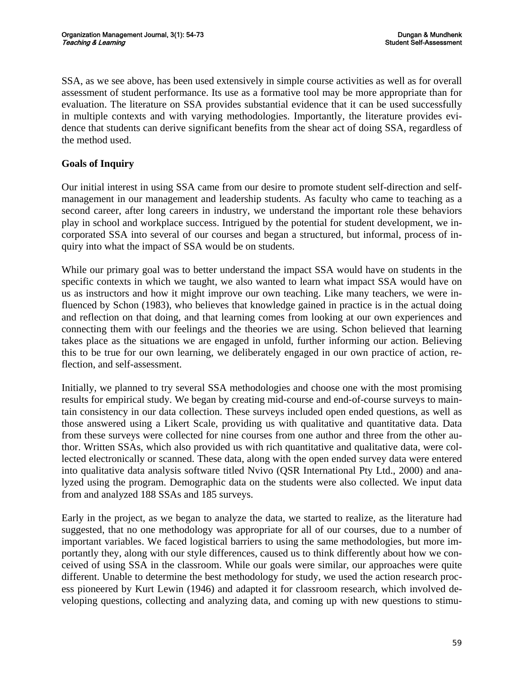SSA, as we see above, has been used extensively in simple course activities as well as for overall assessment of student performance. Its use as a formative tool may be more appropriate than for evaluation. The literature on SSA provides substantial evidence that it can be used successfully in multiple contexts and with varying methodologies. Importantly, the literature provides evidence that students can derive significant benefits from the shear act of doing SSA, regardless of the method used.

## **Goals of Inquiry**

Our initial interest in using SSA came from our desire to promote student self-direction and selfmanagement in our management and leadership students. As faculty who came to teaching as a second career, after long careers in industry, we understand the important role these behaviors play in school and workplace success. Intrigued by the potential for student development, we incorporated SSA into several of our courses and began a structured, but informal, process of inquiry into what the impact of SSA would be on students.

While our primary goal was to better understand the impact SSA would have on students in the specific contexts in which we taught, we also wanted to learn what impact SSA would have on us as instructors and how it might improve our own teaching. Like many teachers, we were influenced by Schon (1983), who believes that knowledge gained in practice is in the actual doing and reflection on that doing, and that learning comes from looking at our own experiences and connecting them with our feelings and the theories we are using. Schon believed that learning takes place as the situations we are engaged in unfold, further informing our action. Believing this to be true for our own learning, we deliberately engaged in our own practice of action, reflection, and self-assessment.

Initially, we planned to try several SSA methodologies and choose one with the most promising results for empirical study. We began by creating mid-course and end-of-course surveys to maintain consistency in our data collection. These surveys included open ended questions, as well as those answered using a Likert Scale, providing us with qualitative and quantitative data. Data from these surveys were collected for nine courses from one author and three from the other author. Written SSAs, which also provided us with rich quantitative and qualitative data, were collected electronically or scanned. These data, along with the open ended survey data were entered into qualitative data analysis software titled Nvivo (QSR International Pty Ltd., 2000) and analyzed using the program. Demographic data on the students were also collected. We input data from and analyzed 188 SSAs and 185 surveys.

Early in the project, as we began to analyze the data, we started to realize, as the literature had suggested, that no one methodology was appropriate for all of our courses, due to a number of important variables. We faced logistical barriers to using the same methodologies, but more importantly they, along with our style differences, caused us to think differently about how we conceived of using SSA in the classroom. While our goals were similar, our approaches were quite different. Unable to determine the best methodology for study, we used the action research process pioneered by Kurt Lewin (1946) and adapted it for classroom research, which involved developing questions, collecting and analyzing data, and coming up with new questions to stimu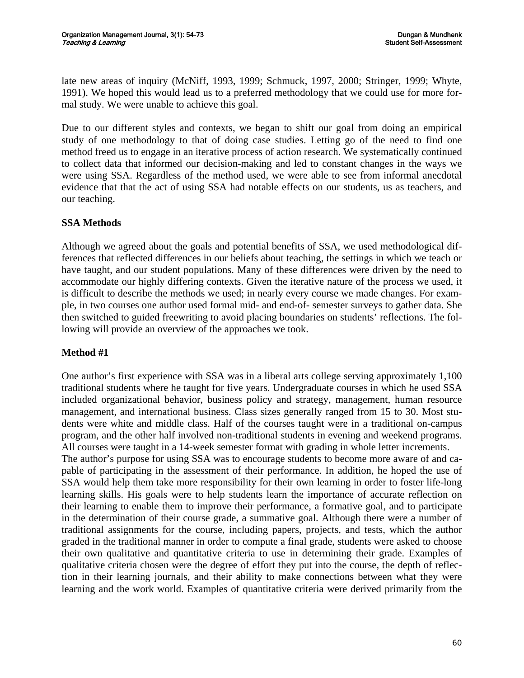late new areas of inquiry (McNiff, 1993, 1999; Schmuck, 1997, 2000; Stringer, 1999; Whyte, 1991). We hoped this would lead us to a preferred methodology that we could use for more formal study. We were unable to achieve this goal.

Due to our different styles and contexts, we began to shift our goal from doing an empirical study of one methodology to that of doing case studies. Letting go of the need to find one method freed us to engage in an iterative process of action research. We systematically continued to collect data that informed our decision-making and led to constant changes in the ways we were using SSA. Regardless of the method used, we were able to see from informal anecdotal evidence that that the act of using SSA had notable effects on our students, us as teachers, and our teaching.

# **SSA Methods**

Although we agreed about the goals and potential benefits of SSA, we used methodological differences that reflected differences in our beliefs about teaching, the settings in which we teach or have taught, and our student populations. Many of these differences were driven by the need to accommodate our highly differing contexts. Given the iterative nature of the process we used, it is difficult to describe the methods we used; in nearly every course we made changes. For example, in two courses one author used formal mid- and end-of- semester surveys to gather data. She then switched to guided freewriting to avoid placing boundaries on students' reflections. The following will provide an overview of the approaches we took.

## **Method #1**

One author's first experience with SSA was in a liberal arts college serving approximately 1,100 traditional students where he taught for five years. Undergraduate courses in which he used SSA included organizational behavior, business policy and strategy, management, human resource management, and international business. Class sizes generally ranged from 15 to 30. Most students were white and middle class. Half of the courses taught were in a traditional on-campus program, and the other half involved non-traditional students in evening and weekend programs. All courses were taught in a 14-week semester format with grading in whole letter increments. The author's purpose for using SSA was to encourage students to become more aware of and ca-

pable of participating in the assessment of their performance. In addition, he hoped the use of SSA would help them take more responsibility for their own learning in order to foster life-long learning skills. His goals were to help students learn the importance of accurate reflection on their learning to enable them to improve their performance, a formative goal, and to participate in the determination of their course grade, a summative goal. Although there were a number of traditional assignments for the course, including papers, projects, and tests, which the author graded in the traditional manner in order to compute a final grade, students were asked to choose their own qualitative and quantitative criteria to use in determining their grade. Examples of qualitative criteria chosen were the degree of effort they put into the course, the depth of reflection in their learning journals, and their ability to make connections between what they were learning and the work world. Examples of quantitative criteria were derived primarily from the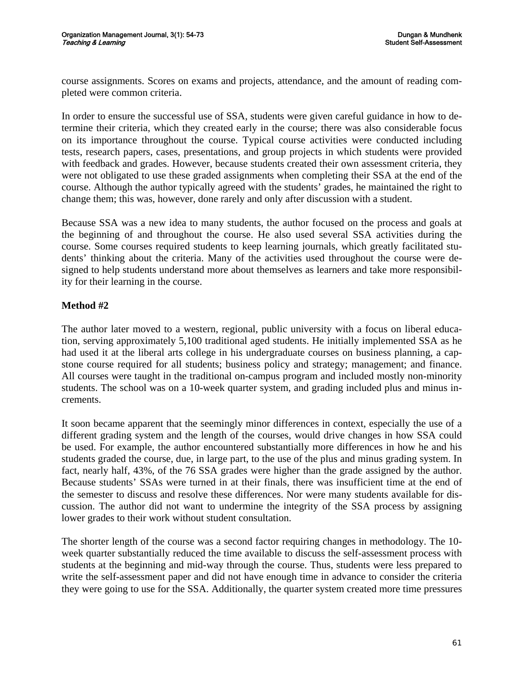course assignments. Scores on exams and projects, attendance, and the amount of reading completed were common criteria.

In order to ensure the successful use of SSA, students were given careful guidance in how to determine their criteria, which they created early in the course; there was also considerable focus on its importance throughout the course. Typical course activities were conducted including tests, research papers, cases, presentations, and group projects in which students were provided with feedback and grades. However, because students created their own assessment criteria, they were not obligated to use these graded assignments when completing their SSA at the end of the course. Although the author typically agreed with the students' grades, he maintained the right to change them; this was, however, done rarely and only after discussion with a student.

Because SSA was a new idea to many students, the author focused on the process and goals at the beginning of and throughout the course. He also used several SSA activities during the course. Some courses required students to keep learning journals, which greatly facilitated students' thinking about the criteria. Many of the activities used throughout the course were designed to help students understand more about themselves as learners and take more responsibility for their learning in the course.

# **Method #2**

The author later moved to a western, regional, public university with a focus on liberal education, serving approximately 5,100 traditional aged students. He initially implemented SSA as he had used it at the liberal arts college in his undergraduate courses on business planning, a capstone course required for all students; business policy and strategy; management; and finance. All courses were taught in the traditional on-campus program and included mostly non-minority students. The school was on a 10-week quarter system, and grading included plus and minus increments.

It soon became apparent that the seemingly minor differences in context, especially the use of a different grading system and the length of the courses, would drive changes in how SSA could be used. For example, the author encountered substantially more differences in how he and his students graded the course, due, in large part, to the use of the plus and minus grading system. In fact, nearly half, 43%, of the 76 SSA grades were higher than the grade assigned by the author. Because students' SSAs were turned in at their finals, there was insufficient time at the end of the semester to discuss and resolve these differences. Nor were many students available for discussion. The author did not want to undermine the integrity of the SSA process by assigning lower grades to their work without student consultation.

The shorter length of the course was a second factor requiring changes in methodology. The 10 week quarter substantially reduced the time available to discuss the self-assessment process with students at the beginning and mid-way through the course. Thus, students were less prepared to write the self-assessment paper and did not have enough time in advance to consider the criteria they were going to use for the SSA. Additionally, the quarter system created more time pressures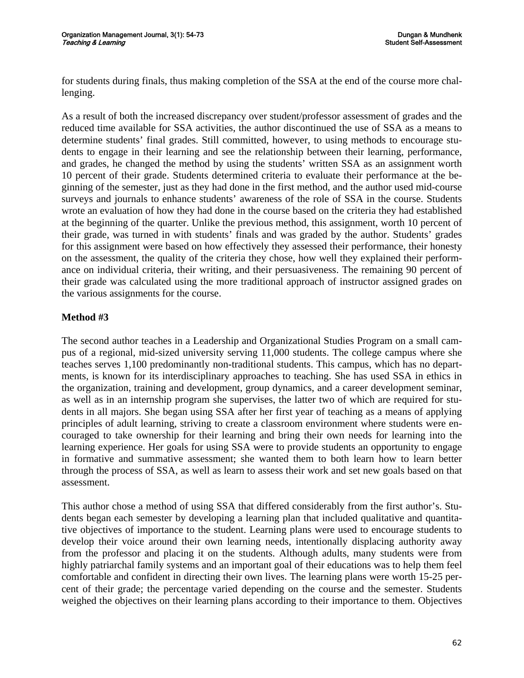for students during finals, thus making completion of the SSA at the end of the course more challenging.

As a result of both the increased discrepancy over student/professor assessment of grades and the reduced time available for SSA activities, the author discontinued the use of SSA as a means to determine students' final grades. Still committed, however, to using methods to encourage students to engage in their learning and see the relationship between their learning, performance, and grades, he changed the method by using the students' written SSA as an assignment worth 10 percent of their grade. Students determined criteria to evaluate their performance at the beginning of the semester, just as they had done in the first method, and the author used mid-course surveys and journals to enhance students' awareness of the role of SSA in the course. Students wrote an evaluation of how they had done in the course based on the criteria they had established at the beginning of the quarter. Unlike the previous method, this assignment, worth 10 percent of their grade, was turned in with students' finals and was graded by the author. Students' grades for this assignment were based on how effectively they assessed their performance, their honesty on the assessment, the quality of the criteria they chose, how well they explained their performance on individual criteria, their writing, and their persuasiveness. The remaining 90 percent of their grade was calculated using the more traditional approach of instructor assigned grades on the various assignments for the course.

# **Method #3**

The second author teaches in a Leadership and Organizational Studies Program on a small campus of a regional, mid-sized university serving 11,000 students. The college campus where she teaches serves 1,100 predominantly non-traditional students. This campus, which has no departments, is known for its interdisciplinary approaches to teaching. She has used SSA in ethics in the organization, training and development, group dynamics, and a career development seminar, as well as in an internship program she supervises, the latter two of which are required for students in all majors. She began using SSA after her first year of teaching as a means of applying principles of adult learning, striving to create a classroom environment where students were encouraged to take ownership for their learning and bring their own needs for learning into the learning experience. Her goals for using SSA were to provide students an opportunity to engage in formative and summative assessment; she wanted them to both learn how to learn better through the process of SSA, as well as learn to assess their work and set new goals based on that assessment.

This author chose a method of using SSA that differed considerably from the first author's. Students began each semester by developing a learning plan that included qualitative and quantitative objectives of importance to the student. Learning plans were used to encourage students to develop their voice around their own learning needs, intentionally displacing authority away from the professor and placing it on the students. Although adults, many students were from highly patriarchal family systems and an important goal of their educations was to help them feel comfortable and confident in directing their own lives. The learning plans were worth 15-25 percent of their grade; the percentage varied depending on the course and the semester. Students weighed the objectives on their learning plans according to their importance to them. Objectives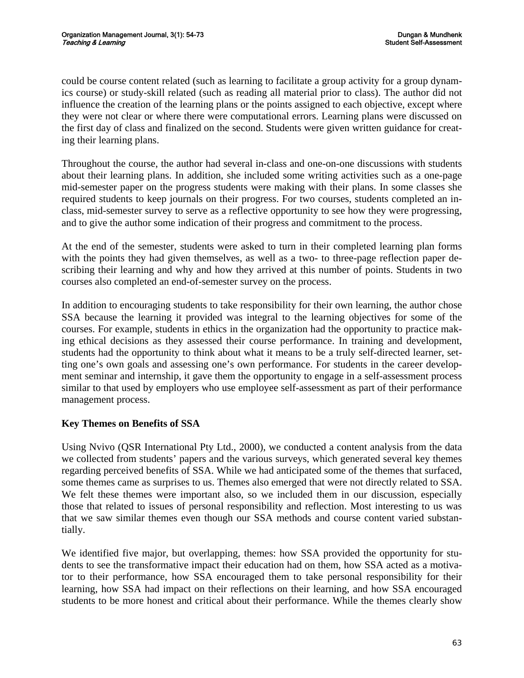could be course content related (such as learning to facilitate a group activity for a group dynamics course) or study-skill related (such as reading all material prior to class). The author did not influence the creation of the learning plans or the points assigned to each objective, except where they were not clear or where there were computational errors. Learning plans were discussed on the first day of class and finalized on the second. Students were given written guidance for creating their learning plans.

Throughout the course, the author had several in-class and one-on-one discussions with students about their learning plans. In addition, she included some writing activities such as a one-page mid-semester paper on the progress students were making with their plans. In some classes she required students to keep journals on their progress. For two courses, students completed an inclass, mid-semester survey to serve as a reflective opportunity to see how they were progressing, and to give the author some indication of their progress and commitment to the process.

At the end of the semester, students were asked to turn in their completed learning plan forms with the points they had given themselves, as well as a two- to three-page reflection paper describing their learning and why and how they arrived at this number of points. Students in two courses also completed an end-of-semester survey on the process.

In addition to encouraging students to take responsibility for their own learning, the author chose SSA because the learning it provided was integral to the learning objectives for some of the courses. For example, students in ethics in the organization had the opportunity to practice making ethical decisions as they assessed their course performance. In training and development, students had the opportunity to think about what it means to be a truly self-directed learner, setting one's own goals and assessing one's own performance. For students in the career development seminar and internship, it gave them the opportunity to engage in a self-assessment process similar to that used by employers who use employee self-assessment as part of their performance management process.

## **Key Themes on Benefits of SSA**

Using Nvivo (QSR International Pty Ltd., 2000), we conducted a content analysis from the data we collected from students' papers and the various surveys, which generated several key themes regarding perceived benefits of SSA. While we had anticipated some of the themes that surfaced, some themes came as surprises to us. Themes also emerged that were not directly related to SSA. We felt these themes were important also, so we included them in our discussion, especially those that related to issues of personal responsibility and reflection. Most interesting to us was that we saw similar themes even though our SSA methods and course content varied substantially.

We identified five major, but overlapping, themes: how SSA provided the opportunity for students to see the transformative impact their education had on them, how SSA acted as a motivator to their performance, how SSA encouraged them to take personal responsibility for their learning, how SSA had impact on their reflections on their learning, and how SSA encouraged students to be more honest and critical about their performance. While the themes clearly show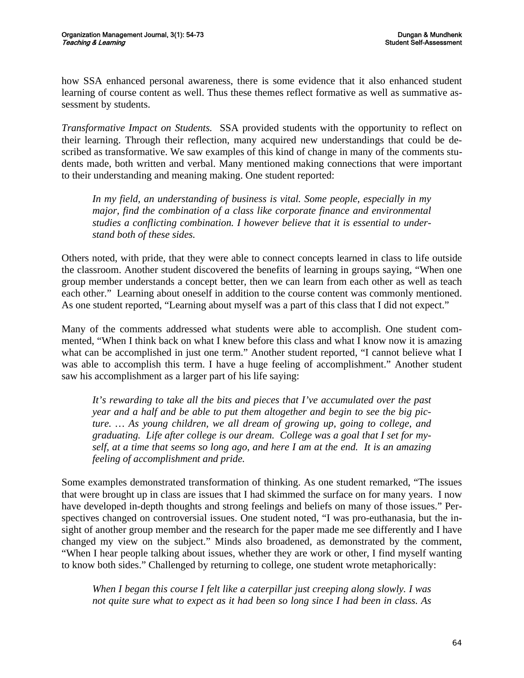how SSA enhanced personal awareness, there is some evidence that it also enhanced student learning of course content as well. Thus these themes reflect formative as well as summative assessment by students.

*Transformative Impact on Students.* SSA provided students with the opportunity to reflect on their learning. Through their reflection, many acquired new understandings that could be described as transformative. We saw examples of this kind of change in many of the comments students made, both written and verbal. Many mentioned making connections that were important to their understanding and meaning making. One student reported:

*In my field, an understanding of business is vital. Some people, especially in my major, find the combination of a class like corporate finance and environmental studies a conflicting combination. I however believe that it is essential to understand both of these sides.* 

Others noted, with pride, that they were able to connect concepts learned in class to life outside the classroom. Another student discovered the benefits of learning in groups saying, "When one group member understands a concept better, then we can learn from each other as well as teach each other." Learning about oneself in addition to the course content was commonly mentioned. As one student reported, "Learning about myself was a part of this class that I did not expect."

Many of the comments addressed what students were able to accomplish. One student commented, "When I think back on what I knew before this class and what I know now it is amazing what can be accomplished in just one term." Another student reported, "I cannot believe what I was able to accomplish this term. I have a huge feeling of accomplishment." Another student saw his accomplishment as a larger part of his life saying:

*It's rewarding to take all the bits and pieces that I've accumulated over the past year and a half and be able to put them altogether and begin to see the big picture. … As young children, we all dream of growing up, going to college, and graduating. Life after college is our dream. College was a goal that I set for myself, at a time that seems so long ago, and here I am at the end. It is an amazing feeling of accomplishment and pride.* 

Some examples demonstrated transformation of thinking. As one student remarked, "The issues that were brought up in class are issues that I had skimmed the surface on for many years. I now have developed in-depth thoughts and strong feelings and beliefs on many of those issues." Perspectives changed on controversial issues. One student noted, "I was pro-euthanasia, but the insight of another group member and the research for the paper made me see differently and I have changed my view on the subject." Minds also broadened, as demonstrated by the comment, "When I hear people talking about issues, whether they are work or other, I find myself wanting to know both sides." Challenged by returning to college, one student wrote metaphorically:

*When I began this course I felt like a caterpillar just creeping along slowly. I was not quite sure what to expect as it had been so long since I had been in class. As*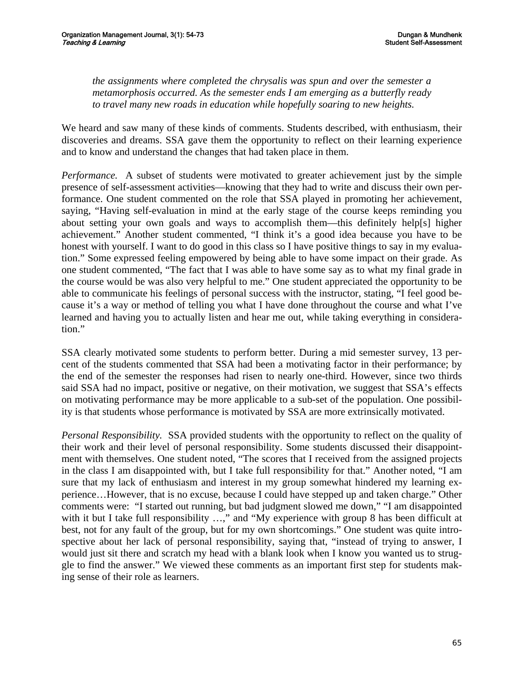*the assignments where completed the chrysalis was spun and over the semester a metamorphosis occurred. As the semester ends I am emerging as a butterfly ready to travel many new roads in education while hopefully soaring to new heights.* 

We heard and saw many of these kinds of comments. Students described, with enthusiasm, their discoveries and dreams. SSA gave them the opportunity to reflect on their learning experience and to know and understand the changes that had taken place in them.

*Performance.* A subset of students were motivated to greater achievement just by the simple presence of self-assessment activities—knowing that they had to write and discuss their own performance. One student commented on the role that SSA played in promoting her achievement, saying, "Having self-evaluation in mind at the early stage of the course keeps reminding you about setting your own goals and ways to accomplish them—this definitely help[s] higher achievement." Another student commented, "I think it's a good idea because you have to be honest with yourself. I want to do good in this class so I have positive things to say in my evaluation." Some expressed feeling empowered by being able to have some impact on their grade. As one student commented, "The fact that I was able to have some say as to what my final grade in the course would be was also very helpful to me." One student appreciated the opportunity to be able to communicate his feelings of personal success with the instructor, stating, "I feel good because it's a way or method of telling you what I have done throughout the course and what I've learned and having you to actually listen and hear me out, while taking everything in consideration."

SSA clearly motivated some students to perform better. During a mid semester survey, 13 percent of the students commented that SSA had been a motivating factor in their performance; by the end of the semester the responses had risen to nearly one-third. However, since two thirds said SSA had no impact, positive or negative, on their motivation, we suggest that SSA's effects on motivating performance may be more applicable to a sub-set of the population. One possibility is that students whose performance is motivated by SSA are more extrinsically motivated.

*Personal Responsibility.* SSA provided students with the opportunity to reflect on the quality of their work and their level of personal responsibility. Some students discussed their disappointment with themselves. One student noted, "The scores that I received from the assigned projects in the class I am disappointed with, but I take full responsibility for that." Another noted, "I am sure that my lack of enthusiasm and interest in my group somewhat hindered my learning experience…However, that is no excuse, because I could have stepped up and taken charge." Other comments were: "I started out running, but bad judgment slowed me down," "I am disappointed with it but I take full responsibility ...," and "My experience with group 8 has been difficult at best, not for any fault of the group, but for my own shortcomings." One student was quite introspective about her lack of personal responsibility, saying that, "instead of trying to answer, I would just sit there and scratch my head with a blank look when I know you wanted us to struggle to find the answer." We viewed these comments as an important first step for students making sense of their role as learners.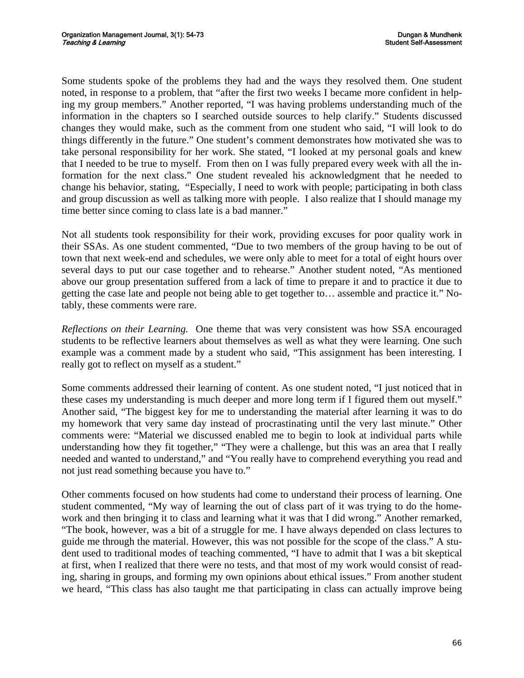Some students spoke of the problems they had and the ways they resolved them. One student noted, in response to a problem, that "after the first two weeks I became more confident in helping my group members." Another reported, "I was having problems understanding much of the information in the chapters so I searched outside sources to help clarify." Students discussed changes they would make, such as the comment from one student who said, "I will look to do things differently in the future." One student's comment demonstrates how motivated she was to take personal responsibility for her work. She stated, "I looked at my personal goals and knew that I needed to be true to myself. From then on I was fully prepared every week with all the information for the next class." One student revealed his acknowledgment that he needed to change his behavior, stating, "Especially, I need to work with people; participating in both class and group discussion as well as talking more with people. I also realize that I should manage my time better since coming to class late is a bad manner."

Not all students took responsibility for their work, providing excuses for poor quality work in their SSAs. As one student commented, "Due to two members of the group having to be out of town that next week-end and schedules, we were only able to meet for a total of eight hours over several days to put our case together and to rehearse." Another student noted, "As mentioned above our group presentation suffered from a lack of time to prepare it and to practice it due to getting the case late and people not being able to get together to… assemble and practice it." Notably, these comments were rare.

*Reflections on their Learning.* One theme that was very consistent was how SSA encouraged students to be reflective learners about themselves as well as what they were learning. One such example was a comment made by a student who said, "This assignment has been interesting. I really got to reflect on myself as a student."

Some comments addressed their learning of content. As one student noted, "I just noticed that in these cases my understanding is much deeper and more long term if I figured them out myself." Another said, "The biggest key for me to understanding the material after learning it was to do my homework that very same day instead of procrastinating until the very last minute." Other comments were: "Material we discussed enabled me to begin to look at individual parts while understanding how they fit together," "They were a challenge, but this was an area that I really needed and wanted to understand," and "You really have to comprehend everything you read and not just read something because you have to."

Other comments focused on how students had come to understand their process of learning. One student commented, "My way of learning the out of class part of it was trying to do the homework and then bringing it to class and learning what it was that I did wrong." Another remarked, "The book, however, was a bit of a struggle for me. I have always depended on class lectures to guide me through the material. However, this was not possible for the scope of the class." A student used to traditional modes of teaching commented, "I have to admit that I was a bit skeptical at first, when I realized that there were no tests, and that most of my work would consist of reading, sharing in groups, and forming my own opinions about ethical issues." From another student we heard, "This class has also taught me that participating in class can actually improve being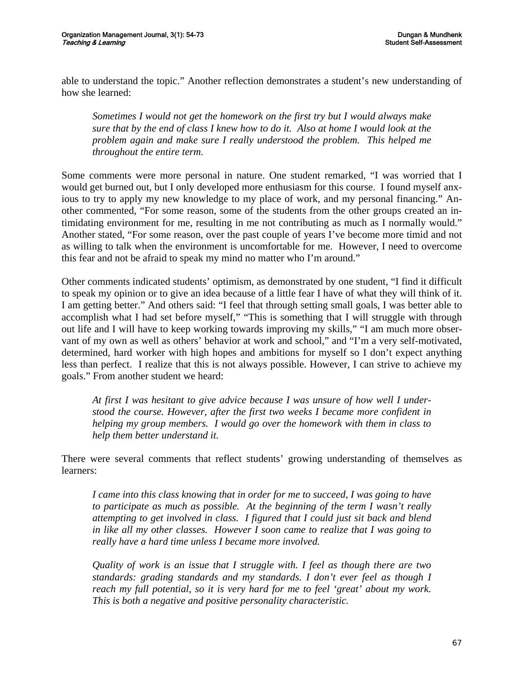able to understand the topic." Another reflection demonstrates a student's new understanding of how she learned:

*Sometimes I would not get the homework on the first try but I would always make sure that by the end of class I knew how to do it. Also at home I would look at the problem again and make sure I really understood the problem. This helped me throughout the entire term.* 

Some comments were more personal in nature. One student remarked, "I was worried that I would get burned out, but I only developed more enthusiasm for this course. I found myself anxious to try to apply my new knowledge to my place of work, and my personal financing." Another commented, "For some reason, some of the students from the other groups created an intimidating environment for me, resulting in me not contributing as much as I normally would." Another stated, "For some reason, over the past couple of years I've become more timid and not as willing to talk when the environment is uncomfortable for me. However, I need to overcome this fear and not be afraid to speak my mind no matter who I'm around."

Other comments indicated students' optimism, as demonstrated by one student, "I find it difficult to speak my opinion or to give an idea because of a little fear I have of what they will think of it. I am getting better." And others said: "I feel that through setting small goals, I was better able to accomplish what I had set before myself," "This is something that I will struggle with through out life and I will have to keep working towards improving my skills," "I am much more observant of my own as well as others' behavior at work and school," and "I'm a very self-motivated, determined, hard worker with high hopes and ambitions for myself so I don't expect anything less than perfect. I realize that this is not always possible. However, I can strive to achieve my goals." From another student we heard:

*At first I was hesitant to give advice because I was unsure of how well I understood the course. However, after the first two weeks I became more confident in helping my group members. I would go over the homework with them in class to help them better understand it.* 

There were several comments that reflect students' growing understanding of themselves as learners:

*I came into this class knowing that in order for me to succeed, I was going to have to participate as much as possible. At the beginning of the term I wasn't really attempting to get involved in class. I figured that I could just sit back and blend in like all my other classes. However I soon came to realize that I was going to really have a hard time unless I became more involved.* 

*Quality of work is an issue that I struggle with. I feel as though there are two standards: grading standards and my standards. I don't ever feel as though I reach my full potential, so it is very hard for me to feel 'great' about my work. This is both a negative and positive personality characteristic.*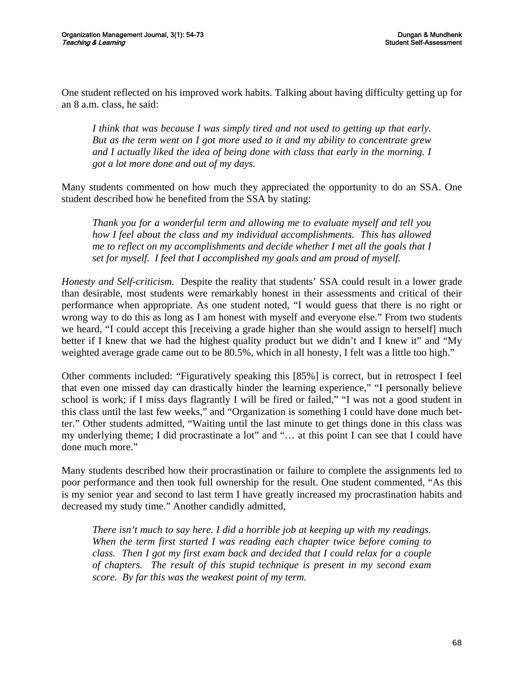One student reflected on his improved work habits. Talking about having difficulty getting up for an 8 a.m. class, he said:

*I think that was because I was simply tired and not used to getting up that early. But as the term went on I got more used to it and my ability to concentrate grew and I actually liked the idea of being done with class that early in the morning. I got a lot more done and out of my days.* 

Many students commented on how much they appreciated the opportunity to do an SSA. One student described how he benefited from the SSA by stating:

*Thank you for a wonderful term and allowing me to evaluate myself and tell you how I feel about the class and my individual accomplishments. This has allowed me to reflect on my accomplishments and decide whether I met all the goals that I set for myself. I feel that I accomplished my goals and am proud of myself.* 

*Honesty and Self-criticism.* Despite the reality that students' SSA could result in a lower grade than desirable, most students were remarkably honest in their assessments and critical of their performance when appropriate. As one student noted, "I would guess that there is no right or wrong way to do this as long as I am honest with myself and everyone else." From two students we heard, "I could accept this [receiving a grade higher than she would assign to herself] much better if I knew that we had the highest quality product but we didn't and I knew it" and "My weighted average grade came out to be 80.5%, which in all honesty, I felt was a little too high."

Other comments included: "Figuratively speaking this [85%] is correct, but in retrospect I feel that even one missed day can drastically hinder the learning experience," "I personally believe school is work; if I miss days flagrantly I will be fired or failed," "I was not a good student in this class until the last few weeks," and "Organization is something I could have done much better." Other students admitted, "Waiting until the last minute to get things done in this class was my underlying theme; I did procrastinate a lot" and "… at this point I can see that I could have done much more."

Many students described how their procrastination or failure to complete the assignments led to poor performance and then took full ownership for the result. One student commented, "As this is my senior year and second to last term I have greatly increased my procrastination habits and decreased my study time." Another candidly admitted,

*There isn't much to say here. I did a horrible job at keeping up with my readings. When the term first started I was reading each chapter twice before coming to class. Then I got my first exam back and decided that I could relax for a couple of chapters. The result of this stupid technique is present in my second exam score. By far this was the weakest point of my term.*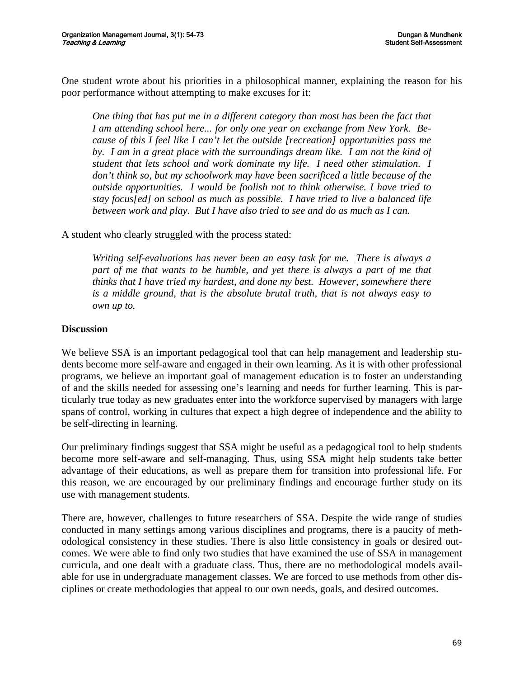One student wrote about his priorities in a philosophical manner, explaining the reason for his poor performance without attempting to make excuses for it:

*One thing that has put me in a different category than most has been the fact that I am attending school here... for only one year on exchange from New York. Because of this I feel like I can't let the outside [recreation] opportunities pass me*  by. I am in a great place with the surroundings dream like. I am not the kind of *student that lets school and work dominate my life. I need other stimulation. I don't think so, but my schoolwork may have been sacrificed a little because of the outside opportunities. I would be foolish not to think otherwise. I have tried to stay focus[ed] on school as much as possible. I have tried to live a balanced life between work and play. But I have also tried to see and do as much as I can.* 

A student who clearly struggled with the process stated:

*Writing self-evaluations has never been an easy task for me. There is always a part of me that wants to be humble, and yet there is always a part of me that thinks that I have tried my hardest, and done my best. However, somewhere there is a middle ground, that is the absolute brutal truth, that is not always easy to own up to.* 

#### **Discussion**

We believe SSA is an important pedagogical tool that can help management and leadership students become more self-aware and engaged in their own learning. As it is with other professional programs, we believe an important goal of management education is to foster an understanding of and the skills needed for assessing one's learning and needs for further learning. This is particularly true today as new graduates enter into the workforce supervised by managers with large spans of control, working in cultures that expect a high degree of independence and the ability to be self-directing in learning.

Our preliminary findings suggest that SSA might be useful as a pedagogical tool to help students become more self-aware and self-managing. Thus, using SSA might help students take better advantage of their educations, as well as prepare them for transition into professional life. For this reason, we are encouraged by our preliminary findings and encourage further study on its use with management students.

There are, however, challenges to future researchers of SSA. Despite the wide range of studies conducted in many settings among various disciplines and programs, there is a paucity of methodological consistency in these studies. There is also little consistency in goals or desired outcomes. We were able to find only two studies that have examined the use of SSA in management curricula, and one dealt with a graduate class. Thus, there are no methodological models available for use in undergraduate management classes. We are forced to use methods from other disciplines or create methodologies that appeal to our own needs, goals, and desired outcomes.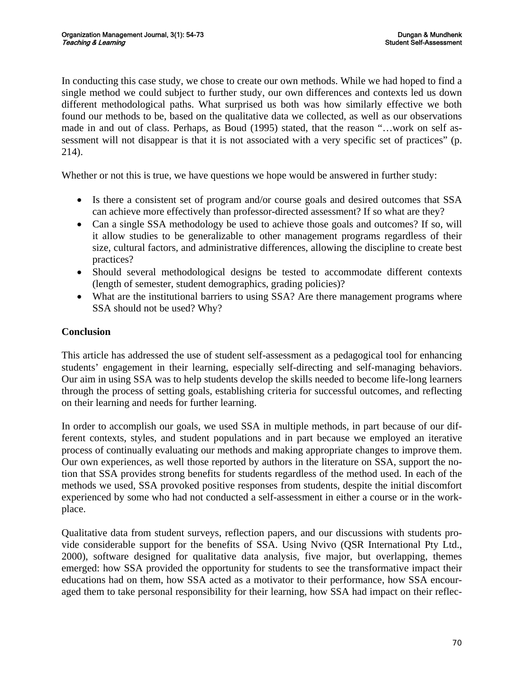In conducting this case study, we chose to create our own methods. While we had hoped to find a single method we could subject to further study, our own differences and contexts led us down different methodological paths. What surprised us both was how similarly effective we both found our methods to be, based on the qualitative data we collected, as well as our observations made in and out of class. Perhaps, as Boud (1995) stated, that the reason "…work on self assessment will not disappear is that it is not associated with a very specific set of practices" (p. 214).

Whether or not this is true, we have questions we hope would be answered in further study:

- Is there a consistent set of program and/or course goals and desired outcomes that SSA can achieve more effectively than professor-directed assessment? If so what are they?
- Can a single SSA methodology be used to achieve those goals and outcomes? If so, will it allow studies to be generalizable to other management programs regardless of their size, cultural factors, and administrative differences, allowing the discipline to create best practices?
- Should several methodological designs be tested to accommodate different contexts (length of semester, student demographics, grading policies)?
- What are the institutional barriers to using SSA? Are there management programs where SSA should not be used? Why?

# **Conclusion**

This article has addressed the use of student self-assessment as a pedagogical tool for enhancing students' engagement in their learning, especially self-directing and self-managing behaviors. Our aim in using SSA was to help students develop the skills needed to become life-long learners through the process of setting goals, establishing criteria for successful outcomes, and reflecting on their learning and needs for further learning.

In order to accomplish our goals, we used SSA in multiple methods, in part because of our different contexts, styles, and student populations and in part because we employed an iterative process of continually evaluating our methods and making appropriate changes to improve them. Our own experiences, as well those reported by authors in the literature on SSA, support the notion that SSA provides strong benefits for students regardless of the method used. In each of the methods we used, SSA provoked positive responses from students, despite the initial discomfort experienced by some who had not conducted a self-assessment in either a course or in the workplace.

Qualitative data from student surveys, reflection papers, and our discussions with students provide considerable support for the benefits of SSA. Using Nvivo (QSR International Pty Ltd., 2000), software designed for qualitative data analysis, five major, but overlapping, themes emerged: how SSA provided the opportunity for students to see the transformative impact their educations had on them, how SSA acted as a motivator to their performance, how SSA encouraged them to take personal responsibility for their learning, how SSA had impact on their reflec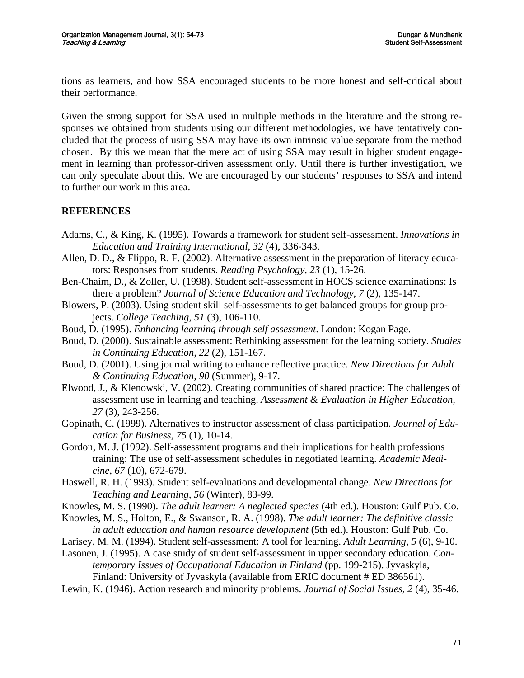tions as learners, and how SSA encouraged students to be more honest and self-critical about their performance.

Given the strong support for SSA used in multiple methods in the literature and the strong responses we obtained from students using our different methodologies, we have tentatively concluded that the process of using SSA may have its own intrinsic value separate from the method chosen. By this we mean that the mere act of using SSA may result in higher student engagement in learning than professor-driven assessment only. Until there is further investigation, we can only speculate about this. We are encouraged by our students' responses to SSA and intend to further our work in this area.

#### **REFERENCES**

- Adams, C., & King, K. (1995). Towards a framework for student self-assessment. *Innovations in Education and Training International, 32* (4), 336-343.
- Allen, D. D., & Flippo, R. F. (2002). Alternative assessment in the preparation of literacy educators: Responses from students. *Reading Psychology, 23* (1), 15-26.
- Ben-Chaim, D., & Zoller, U. (1998). Student self-assessment in HOCS science examinations: Is there a problem? *Journal of Science Education and Technology, 7* (2), 135-147.
- Blowers, P. (2003). Using student skill self-assessments to get balanced groups for group projects. *College Teaching, 51* (3), 106-110.
- Boud, D. (1995). *Enhancing learning through self assessment*. London: Kogan Page.
- Boud, D. (2000). Sustainable assessment: Rethinking assessment for the learning society. *Studies in Continuing Education, 22* (2), 151-167.
- Boud, D. (2001). Using journal writing to enhance reflective practice. *New Directions for Adult & Continuing Education, 90* (Summer), 9-17.
- Elwood, J., & Klenowski, V. (2002). Creating communities of shared practice: The challenges of assessment use in learning and teaching. *Assessment & Evaluation in Higher Education, 27* (3), 243-256.
- Gopinath, C. (1999). Alternatives to instructor assessment of class participation. *Journal of Education for Business, 75* (1), 10-14.
- Gordon, M. J. (1992). Self-assessment programs and their implications for health professions training: The use of self-assessment schedules in negotiated learning. *Academic Medicine, 67* (10), 672-679.
- Haswell, R. H. (1993). Student self-evaluations and developmental change. *New Directions for Teaching and Learning, 56* (Winter), 83-99.
- Knowles, M. S. (1990). *The adult learner: A neglected species* (4th ed.). Houston: Gulf Pub. Co.
- Knowles, M. S., Holton, E., & Swanson, R. A. (1998). *The adult learner: The definitive classic in adult education and human resource development* (5th ed.). Houston: Gulf Pub. Co.
- Larisey, M. M. (1994). Student self-assessment: A tool for learning. *Adult Learning, 5* (6), 9-10.

Lasonen, J. (1995). A case study of student self-assessment in upper secondary education. *Contemporary Issues of Occupational Education in Finland* (pp. 199-215). Jyvaskyla, Finland: University of Jyvaskyla (available from ERIC document # ED 386561).

Lewin, K. (1946). Action research and minority problems. *Journal of Social Issues, 2* (4), 35-46.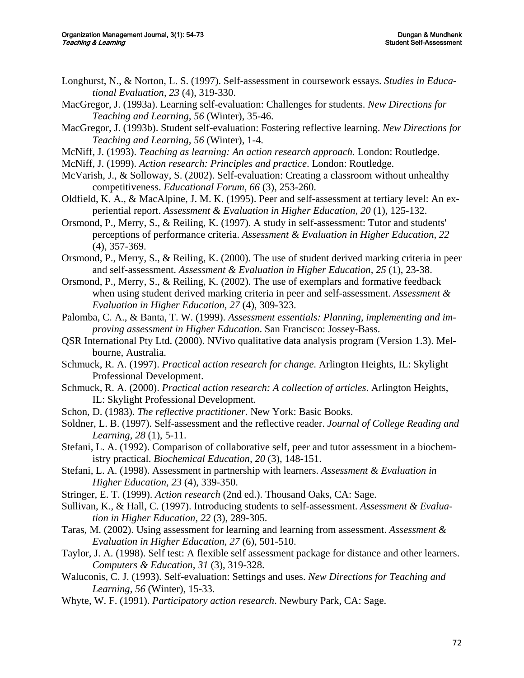- Longhurst, N., & Norton, L. S. (1997). Self-assessment in coursework essays. *Studies in Educational Evaluation, 23* (4), 319-330.
- MacGregor, J. (1993a). Learning self-evaluation: Challenges for students. *New Directions for Teaching and Learning, 56* (Winter), 35-46.
- MacGregor, J. (1993b). Student self-evaluation: Fostering reflective learning. *New Directions for Teaching and Learning, 56* (Winter), 1-4.
- McNiff, J. (1993). *Teaching as learning: An action research approach*. London: Routledge.
- McNiff, J. (1999). *Action research: Principles and practice*. London: Routledge.
- McVarish, J., & Solloway, S. (2002). Self-evaluation: Creating a classroom without unhealthy competitiveness. *Educational Forum, 66* (3), 253-260.
- Oldfield, K. A., & MacAlpine, J. M. K. (1995). Peer and self-assessment at tertiary level: An experiential report. *Assessment & Evaluation in Higher Education, 20* (1), 125-132.
- Orsmond, P., Merry, S., & Reiling, K. (1997). A study in self-assessment: Tutor and students' perceptions of performance criteria. *Assessment & Evaluation in Higher Education, 22*  (4), 357-369.
- Orsmond, P., Merry, S., & Reiling, K. (2000). The use of student derived marking criteria in peer and self-assessment. *Assessment & Evaluation in Higher Education, 25* (1), 23-38.
- Orsmond, P., Merry, S., & Reiling, K. (2002). The use of exemplars and formative feedback when using student derived marking criteria in peer and self-assessment. *Assessment & Evaluation in Higher Education, 27* (4), 309-323.
- Palomba, C. A., & Banta, T. W. (1999). *Assessment essentials: Planning, implementing and improving assessment in Higher Education*. San Francisco: Jossey-Bass.
- QSR International Pty Ltd. (2000). NVivo qualitative data analysis program (Version 1.3). Melbourne, Australia.
- Schmuck, R. A. (1997). *Practical action research for change*. Arlington Heights, IL: Skylight Professional Development.
- Schmuck, R. A. (2000). *Practical action research: A collection of articles*. Arlington Heights, IL: Skylight Professional Development.
- Schon, D. (1983). *The reflective practitioner*. New York: Basic Books.
- Soldner, L. B. (1997). Self-assessment and the reflective reader. *Journal of College Reading and Learning, 28* (1), 5-11.
- Stefani, L. A. (1992). Comparison of collaborative self, peer and tutor assessment in a biochemistry practical. *Biochemical Education, 20* (3), 148-151.
- Stefani, L. A. (1998). Assessment in partnership with learners. *Assessment & Evaluation in Higher Education, 23* (4), 339-350.
- Stringer, E. T. (1999). *Action research* (2nd ed.). Thousand Oaks, CA: Sage.
- Sullivan, K., & Hall, C. (1997). Introducing students to self-assessment. *Assessment & Evaluation in Higher Education, 22* (3), 289-305.
- Taras, M. (2002). Using assessment for learning and learning from assessment. *Assessment & Evaluation in Higher Education, 27* (6), 501-510.
- Taylor, J. A. (1998). Self test: A flexible self assessment package for distance and other learners. *Computers & Education, 31* (3), 319-328.
- Waluconis, C. J. (1993). Self-evaluation: Settings and uses. *New Directions for Teaching and Learning, 56* (Winter), 15-33.
- Whyte, W. F. (1991). *Participatory action research*. Newbury Park, CA: Sage.